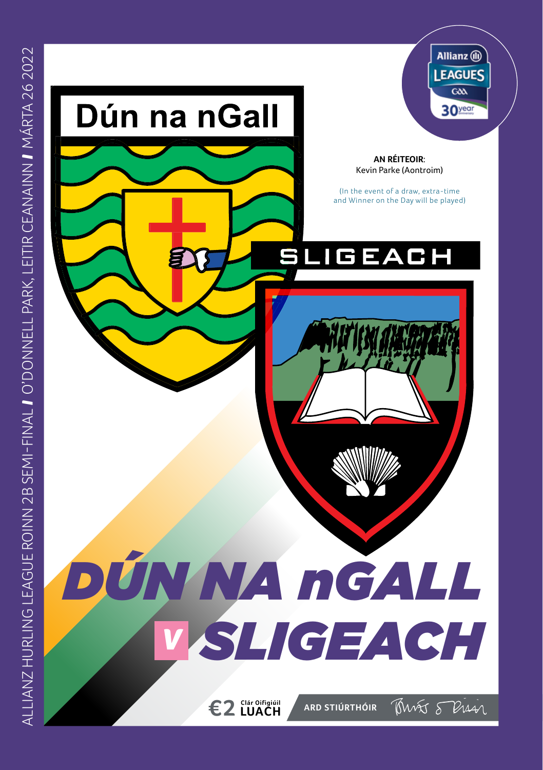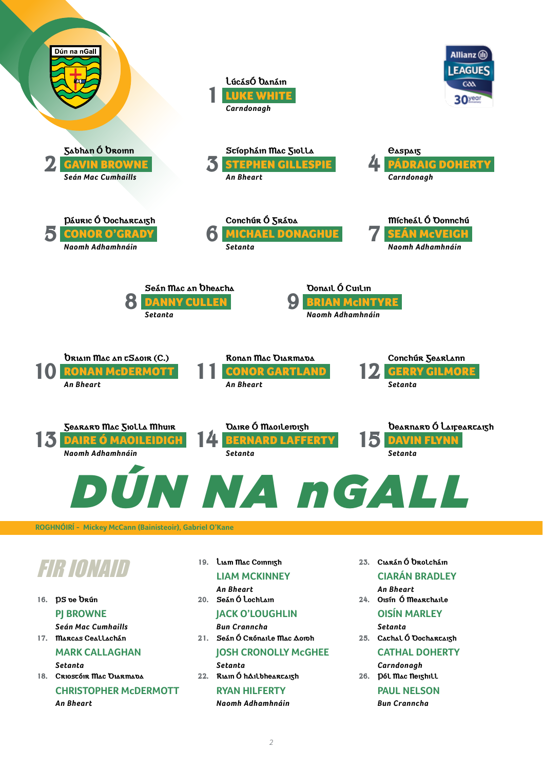![](_page_1_Figure_0.jpeg)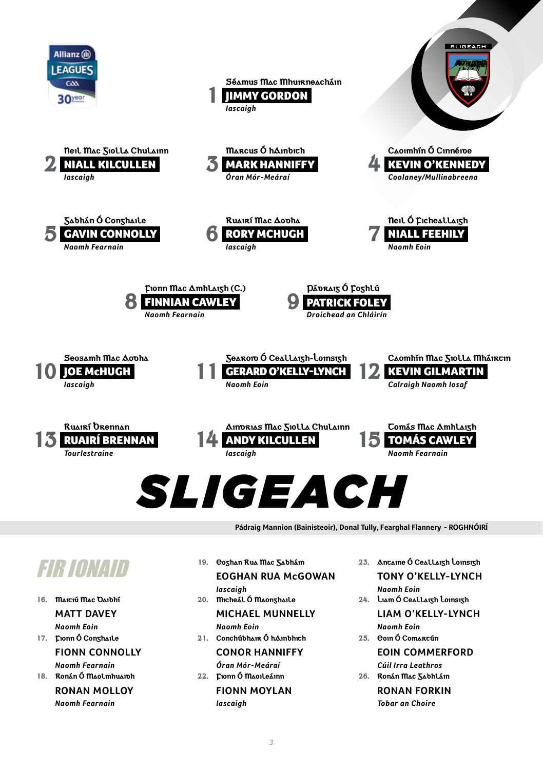![](_page_2_Picture_0.jpeg)

*3*